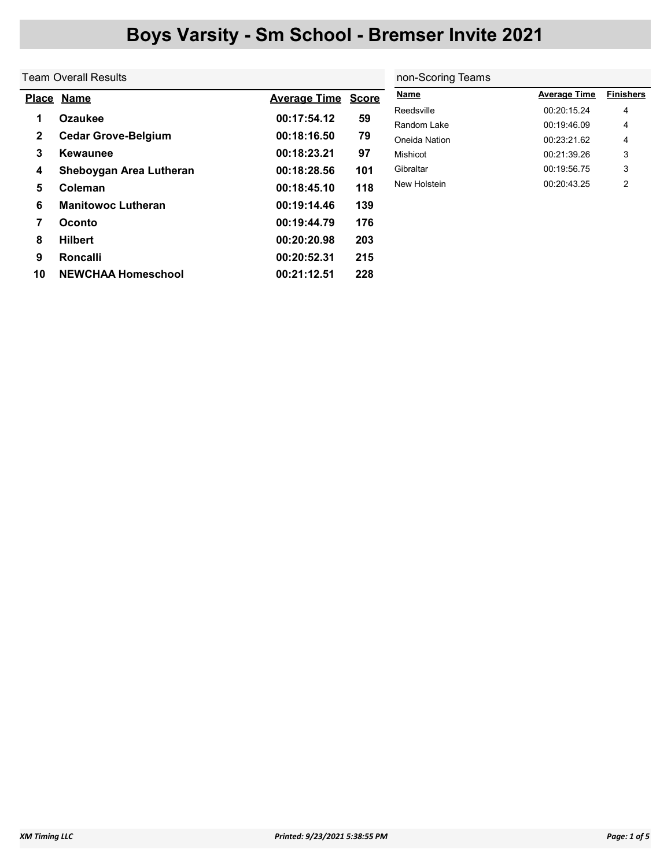## Boys Varsity - Sm School - Bremser Invite 2021

|              | Team Overall Results       | non-Scoring Teams   |              |               |                     |                  |
|--------------|----------------------------|---------------------|--------------|---------------|---------------------|------------------|
|              | Place Name                 | <b>Average Time</b> | <b>Score</b> | Name          | <b>Average Time</b> | <b>Finishers</b> |
|              | <b>Ozaukee</b>             | 00:17:54.12         | 59           | Reedsville    | 00:20:15.24         | 4                |
| $\mathbf{2}$ | <b>Cedar Grove-Belgium</b> | 00:18:16.50         | 79           | Random Lake   | 00:19:46.09         | 4                |
|              |                            |                     |              | Oneida Nation | 00:23:21.62         | 4                |
| 3            | Kewaunee                   | 00:18:23.21         | 97           | Mishicot      | 00:21:39.26         | 3                |
| 4            | Sheboygan Area Lutheran    | 00:18:28.56         | 101          | Gibraltar     | 00:19:56.75         | 3                |
| 5            | Coleman                    | 00:18:45.10         | 118          | New Holstein  | 00:20:43.25         | $\overline{2}$   |
| 6            | <b>Manitowoc Lutheran</b>  | 00:19:14.46         | 139          |               |                     |                  |
| 7            | <b>Oconto</b>              | 00:19:44.79         | 176          |               |                     |                  |
| 8            | <b>Hilbert</b>             | 00:20:20.98         | 203          |               |                     |                  |
| 9            | <b>Roncalli</b>            | 00:20:52.31         | 215          |               |                     |                  |
| 10           | <b>NEWCHAA Homeschool</b>  | 00:21:12.51         | 228          |               |                     |                  |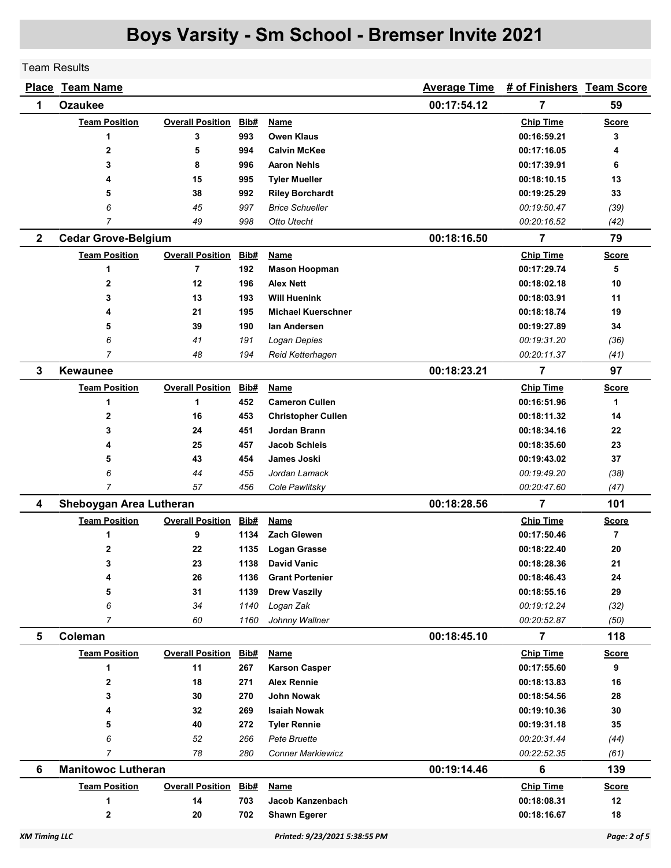## Boys Varsity - Sm School - Bremser Invite 2021

Team Results

|                      | <b>Place Team Name</b>     |                         |      |                               | <b>Average Time</b> | # of Finishers Team Score |                |
|----------------------|----------------------------|-------------------------|------|-------------------------------|---------------------|---------------------------|----------------|
| 1                    | <b>Ozaukee</b>             |                         |      |                               | 00:17:54.12         | 7                         | 59             |
|                      | <b>Team Position</b>       | <b>Overall Position</b> | Bib# | <b>Name</b>                   |                     | <b>Chip Time</b>          | <b>Score</b>   |
|                      | 1                          | 3                       | 993  | <b>Owen Klaus</b>             |                     | 00:16:59.21               | 3              |
|                      | $\overline{2}$             | 5                       | 994  | <b>Calvin McKee</b>           |                     | 00:17:16.05               | 4              |
|                      | 3                          | 8                       | 996  | <b>Aaron Nehls</b>            |                     | 00:17:39.91               | 6              |
|                      | 4                          | 15                      | 995  | <b>Tyler Mueller</b>          |                     | 00:18:10.15               | 13             |
|                      | 5                          | 38                      | 992  | <b>Riley Borchardt</b>        |                     | 00:19:25.29               | 33             |
|                      | 6                          | 45                      | 997  | <b>Brice Schueller</b>        |                     | 00:19:50.47               | (39)           |
|                      | 7                          | 49                      | 998  | Otto Utecht                   |                     | 00:20:16.52               | (42)           |
| $\mathbf{2}$         | <b>Cedar Grove-Belgium</b> |                         |      |                               | 00:18:16.50         | 7                         | 79             |
|                      | <b>Team Position</b>       | <b>Overall Position</b> | Bib# | Name                          |                     | <b>Chip Time</b>          | <b>Score</b>   |
|                      | 1                          | $\overline{7}$          | 192  | <b>Mason Hoopman</b>          |                     | 00:17:29.74               | 5              |
|                      | 2                          | 12                      | 196  | <b>Alex Nett</b>              |                     | 00:18:02.18               | 10             |
|                      | 3                          | 13                      | 193  | <b>Will Huenink</b>           |                     | 00:18:03.91               | 11             |
|                      | 4                          | 21                      | 195  | <b>Michael Kuerschner</b>     |                     | 00:18:18.74               | 19             |
|                      | 5                          | 39                      | 190  | lan Andersen                  |                     | 00:19:27.89               | 34             |
|                      | 6                          | 41                      | 191  | Logan Depies                  |                     | 00:19:31.20               | (36)           |
|                      | 7                          | 48                      | 194  | Reid Ketterhagen              |                     | 00:20:11.37               | (41)           |
| 3                    | <b>Kewaunee</b>            |                         |      |                               | 00:18:23.21         | 7                         | 97             |
|                      | <b>Team Position</b>       | <b>Overall Position</b> | Bib# | <b>Name</b>                   |                     | <b>Chip Time</b>          | <b>Score</b>   |
|                      | 1                          | 1                       | 452  | <b>Cameron Cullen</b>         |                     | 00:16:51.96               | 1              |
|                      | 2                          | 16                      | 453  | <b>Christopher Cullen</b>     |                     | 00:18:11.32               | 14             |
|                      | 3                          | 24                      | 451  | Jordan Brann                  |                     | 00:18:34.16               | 22             |
|                      | 4                          | 25                      | 457  | <b>Jacob Schleis</b>          |                     | 00:18:35.60               | 23             |
|                      | 5                          | 43                      | 454  | James Joski                   |                     | 00:19:43.02               | 37             |
|                      | 6                          | 44                      | 455  | Jordan Lamack                 |                     | 00:19:49.20               | (38)           |
|                      | 7                          | 57                      | 456  | Cole Pawlitsky                |                     | 00:20:47.60               | (47)           |
| 4                    | Sheboygan Area Lutheran    |                         |      |                               | 00:18:28.56         | $\overline{7}$            | 101            |
|                      | <b>Team Position</b>       | <b>Overall Position</b> | Bib# | <b>Name</b>                   |                     | <b>Chip Time</b>          | <u>Score</u>   |
|                      | 1                          | 9                       | 1134 | <b>Zach Glewen</b>            |                     | 00:17:50.46               | $\overline{7}$ |
|                      | 2                          | 22                      | 1135 | <b>Logan Grasse</b>           |                     | 00:18:22.40               | 20             |
|                      | 3                          | 23                      | 1138 | <b>David Vanic</b>            |                     | 00:18:28.36               | 21             |
|                      | 4                          | 26                      | 1136 | <b>Grant Portenier</b>        |                     | 00:18:46.43               | 24             |
|                      | 5                          | 31                      | 1139 | <b>Drew Vaszily</b>           |                     | 00:18:55.16               | 29             |
|                      | 6                          | 34                      | 1140 | Logan Zak                     |                     | 00:19:12.24               | (32)           |
|                      | 7                          | 60                      | 1160 | Johnny Wallner                |                     | 00:20:52.87               | (50)           |
| 5                    | Coleman                    |                         |      |                               | 00:18:45.10         | $\overline{7}$            | 118            |
|                      | <b>Team Position</b>       | <b>Overall Position</b> | Bib# | Name                          |                     | <b>Chip Time</b>          | <b>Score</b>   |
|                      | 1                          | 11                      | 267  | <b>Karson Casper</b>          |                     | 00:17:55.60               | 9              |
|                      | $\mathbf 2$                | 18                      | 271  | <b>Alex Rennie</b>            |                     | 00:18:13.83               | 16             |
|                      | 3                          | 30                      | 270  | John Nowak                    |                     | 00:18:54.56               | 28             |
|                      | 4                          | 32                      | 269  | <b>Isaiah Nowak</b>           |                     | 00:19:10.36               | 30             |
|                      | 5                          | 40                      | 272  | <b>Tyler Rennie</b>           |                     | 00:19:31.18               | 35             |
|                      | 6                          | 52                      | 266  | Pete Bruette                  |                     | 00:20:31.44               | (44)           |
|                      | 7                          | 78                      | 280  | <b>Conner Markiewicz</b>      |                     | 00:22:52.35               | (61)           |
| 6                    | <b>Manitowoc Lutheran</b>  |                         |      |                               | 00:19:14.46         | 6                         | 139            |
|                      | <b>Team Position</b>       | <b>Overall Position</b> | Bib# | Name                          |                     | <b>Chip Time</b>          | <b>Score</b>   |
|                      | 1                          | 14                      | 703  | Jacob Kanzenbach              |                     | 00:18:08.31               | 12             |
|                      | 2                          | 20                      | 702  | <b>Shawn Egerer</b>           |                     | 00:18:16.67               | 18             |
|                      |                            |                         |      |                               |                     |                           |                |
| <b>XM Timing LLC</b> |                            |                         |      | Printed: 9/23/2021 5:38:55 PM |                     |                           | Page: 2 of 5   |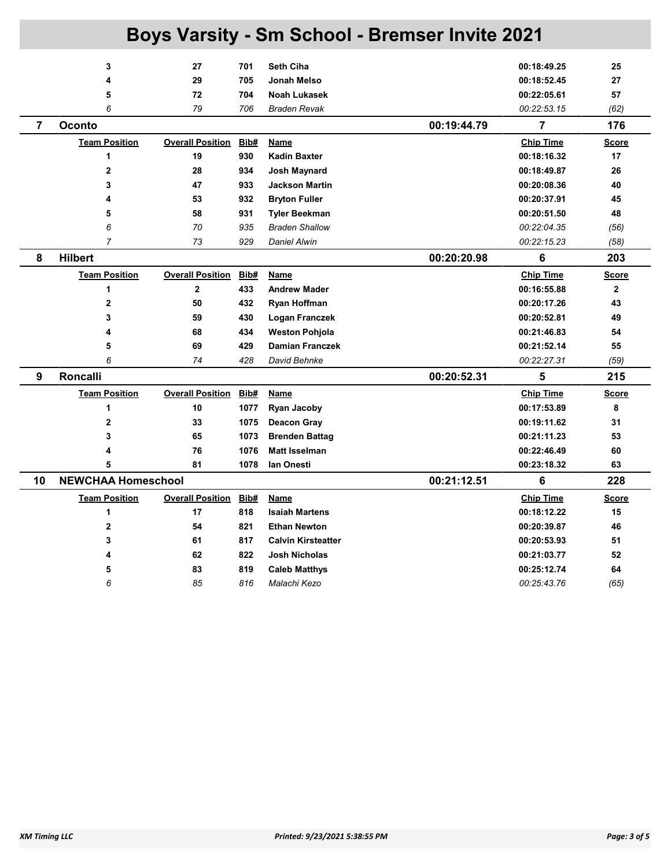| <b>Boys Varsity - Sm School - Bremser Invite 2021</b> |                           |                         |      |                           |             |                  |              |  |
|-------------------------------------------------------|---------------------------|-------------------------|------|---------------------------|-------------|------------------|--------------|--|
|                                                       | 3                         | 27                      | 701  | <b>Seth Ciha</b>          |             | 00:18:49.25      | 25           |  |
|                                                       | 4                         | 29                      | 705  | Jonah Melso               |             | 00:18:52.45      | 27           |  |
|                                                       | 5                         | 72                      | 704  | <b>Noah Lukasek</b>       |             | 00:22:05.61      | 57           |  |
|                                                       | 6                         | 79                      | 706  | <b>Braden Revak</b>       |             | 00:22:53.15      | (62)         |  |
| $\overline{7}$                                        | Oconto                    |                         |      |                           | 00:19:44.79 | $\overline{7}$   | 176          |  |
|                                                       | <b>Team Position</b>      | <b>Overall Position</b> | Bib# | Name                      |             | <b>Chip Time</b> | <b>Score</b> |  |
|                                                       | 1                         | 19                      | 930  | <b>Kadin Baxter</b>       |             | 00:18:16.32      | 17           |  |
|                                                       | $\overline{2}$            | 28                      | 934  | Josh Maynard              |             | 00:18:49.87      | 26           |  |
|                                                       | 3                         | 47                      | 933  | <b>Jackson Martin</b>     |             | 00:20:08.36      | 40           |  |
|                                                       | 4                         | 53                      | 932  | <b>Bryton Fuller</b>      |             | 00:20:37.91      | 45           |  |
|                                                       | 5                         | 58                      | 931  | <b>Tyler Beekman</b>      |             | 00:20:51.50      | 48           |  |
|                                                       | 6                         | 70                      | 935  | <b>Braden Shallow</b>     |             | 00:22:04.35      | (56)         |  |
|                                                       | $\overline{7}$            | 73                      | 929  | <b>Daniel Alwin</b>       |             | 00:22:15.23      | (58)         |  |
| 8                                                     | <b>Hilbert</b>            |                         |      |                           | 00:20:20.98 | 6                | 203          |  |
|                                                       | <b>Team Position</b>      | <b>Overall Position</b> | Bib# | Name                      |             | <b>Chip Time</b> | <b>Score</b> |  |
|                                                       | 1                         | $\overline{2}$          | 433  | <b>Andrew Mader</b>       |             | 00:16:55.88      | $\mathbf{2}$ |  |
|                                                       | 2                         | 50                      | 432  | Ryan Hoffman              |             | 00:20:17.26      | 43           |  |
|                                                       | 3                         | 59                      | 430  | Logan Franczek            |             | 00:20:52.81      | 49           |  |
|                                                       | 4                         | 68                      | 434  | <b>Weston Pohjola</b>     |             | 00:21:46.83      | 54           |  |
|                                                       | 5                         | 69                      | 429  | <b>Damian Franczek</b>    |             | 00:21:52.14      | 55           |  |
|                                                       | 6                         | 74                      | 428  | David Behnke              |             | 00:22:27.31      | (59)         |  |
| 9                                                     | <b>Roncalli</b>           |                         |      |                           | 00:20:52.31 | 5                | 215          |  |
|                                                       | <b>Team Position</b>      | <b>Overall Position</b> | Bib# | Name                      |             | <b>Chip Time</b> | <b>Score</b> |  |
|                                                       | 1                         | 10                      | 1077 | <b>Ryan Jacoby</b>        |             | 00:17:53.89      | 8            |  |
|                                                       | $\overline{\mathbf{2}}$   | 33                      | 1075 | Deacon Gray               |             | 00:19:11.62      | 31           |  |
|                                                       | 3                         | 65                      | 1073 | <b>Brenden Battag</b>     |             | 00:21:11.23      | 53           |  |
|                                                       | 4                         | 76                      | 1076 | <b>Matt Isselman</b>      |             | 00:22:46.49      | 60           |  |
|                                                       | 5                         | 81                      | 1078 | lan Onesti                |             | 00:23:18.32      | 63           |  |
| 10                                                    | <b>NEWCHAA Homeschool</b> |                         |      |                           | 00:21:12.51 | 6                | 228          |  |
|                                                       | <b>Team Position</b>      | <b>Overall Position</b> | Bib# | Name                      |             | <b>Chip Time</b> | <b>Score</b> |  |
|                                                       | 1                         | 17                      | 818  | <b>Isaiah Martens</b>     |             | 00:18:12.22      | 15           |  |
|                                                       | 2                         | 54                      | 821  | <b>Ethan Newton</b>       |             | 00:20:39.87      | 46           |  |
|                                                       | 3                         | 61                      | 817  | <b>Calvin Kirsteatter</b> |             | 00:20:53.93      | 51           |  |
|                                                       | 4                         | 62                      | 822  | <b>Josh Nicholas</b>      |             | 00:21:03.77      | 52           |  |
|                                                       | 5                         | 83                      | 819  | <b>Caleb Matthys</b>      |             | 00:25:12.74      | 64           |  |
|                                                       | 6                         | 85                      | 816  | Malachi Kezo              |             | 00:25:43.76      | (65)         |  |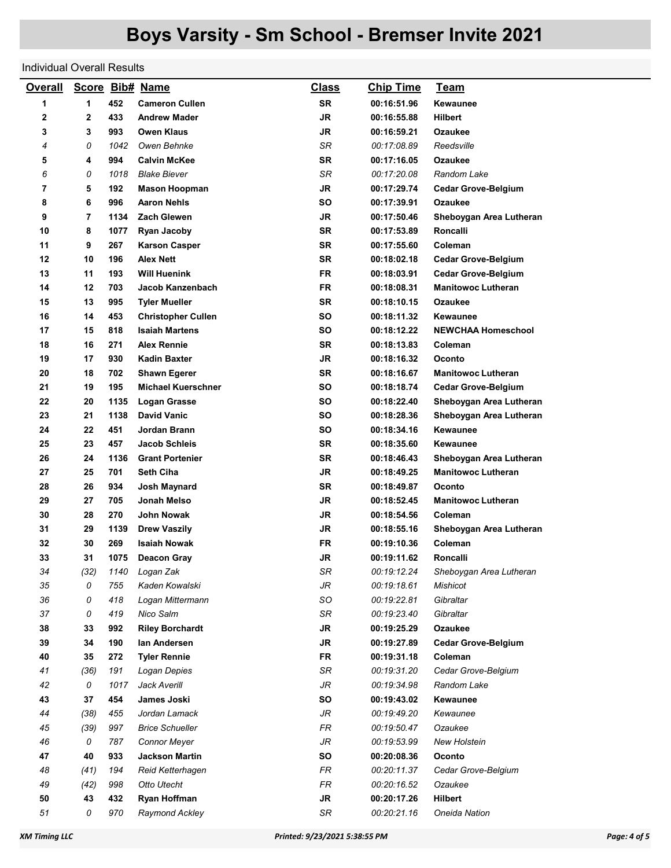## Individual Overall Results

| <b>Overall</b> | Score Bib# Name |      |                           | <u>Class</u> | <b>Chip Time</b> | <b>Team</b>                |
|----------------|-----------------|------|---------------------------|--------------|------------------|----------------------------|
| 1              | 1               | 452  | <b>Cameron Cullen</b>     | <b>SR</b>    | 00:16:51.96      | Kewaunee                   |
| 2              | $\mathbf{2}$    | 433  | <b>Andrew Mader</b>       | <b>JR</b>    | 00:16:55.88      | <b>Hilbert</b>             |
| 3              | 3               | 993  | <b>Owen Klaus</b>         | <b>JR</b>    | 00:16:59.21      | Ozaukee                    |
| 4              | 0               | 1042 | Owen Behnke               | SR           | 00:17:08.89      | Reedsville                 |
| 5              | 4               | 994  | <b>Calvin McKee</b>       | <b>SR</b>    | 00:17:16.05      | <b>Ozaukee</b>             |
| 6              | 0               | 1018 | <b>Blake Biever</b>       | SR           | 00:17:20.08      | Random Lake                |
| 7              | 5               | 192  | <b>Mason Hoopman</b>      | <b>JR</b>    | 00:17:29.74      | <b>Cedar Grove-Belgium</b> |
| 8              | 6               | 996  | <b>Aaron Nehls</b>        | SΟ           | 00:17:39.91      | Ozaukee                    |
| 9              | 7               | 1134 | <b>Zach Glewen</b>        | <b>JR</b>    | 00:17:50.46      | Sheboygan Area Lutheran    |
| 10             | 8               | 1077 | Ryan Jacoby               | <b>SR</b>    | 00:17:53.89      | Roncalli                   |
| 11             | 9               | 267  | <b>Karson Casper</b>      | <b>SR</b>    | 00:17:55.60      | Coleman                    |
| 12             | 10              | 196  | <b>Alex Nett</b>          | <b>SR</b>    | 00:18:02.18      | <b>Cedar Grove-Belgium</b> |
| 13             | 11              | 193  | Will Huenink              | <b>FR</b>    | 00:18:03.91      | <b>Cedar Grove-Belgium</b> |
| 14             | 12              | 703  | Jacob Kanzenbach          | FR           | 00:18:08.31      | <b>Manitowoc Lutheran</b>  |
| 15             | 13              | 995  | <b>Tyler Mueller</b>      | <b>SR</b>    | 00:18:10.15      | <b>Ozaukee</b>             |
| 16             | 14              | 453  | <b>Christopher Cullen</b> | SO           | 00:18:11.32      | Kewaunee                   |
| 17             | 15              | 818  | <b>Isaiah Martens</b>     | SΟ           | 00:18:12.22      | <b>NEWCHAA Homeschool</b>  |
| 18             | 16              | 271  | <b>Alex Rennie</b>        | <b>SR</b>    | 00:18:13.83      | Coleman                    |
| 19             | 17              | 930  | Kadin Baxter              | <b>JR</b>    | 00:18:16.32      | Oconto                     |
| 20             | 18              | 702  | <b>Shawn Egerer</b>       | <b>SR</b>    | 00:18:16.67      | <b>Manitowoc Lutheran</b>  |
| 21             | 19              | 195  | <b>Michael Kuerschner</b> | SΟ           | 00:18:18.74      | <b>Cedar Grove-Belgium</b> |
| 22             | 20              | 1135 | Logan Grasse              | SO           | 00:18:22.40      | Sheboygan Area Lutheran    |
| 23             | 21              | 1138 | <b>David Vanic</b>        | SO           | 00:18:28.36      | Sheboygan Area Lutheran    |
| 24             | 22              | 451  | Jordan Brann              | SΟ           | 00:18:34.16      | Kewaunee                   |
| 25             | 23              | 457  | Jacob Schleis             | <b>SR</b>    | 00:18:35.60      | Kewaunee                   |
| 26             | 24              | 1136 | <b>Grant Portenier</b>    | <b>SR</b>    | 00:18:46.43      | Sheboygan Area Lutheran    |
| 27             | 25              | 701  | <b>Seth Ciha</b>          | JR           | 00:18:49.25      | <b>Manitowoc Lutheran</b>  |
| 28             | 26              | 934  | Josh Maynard              | <b>SR</b>    | 00:18:49.87      | Oconto                     |
| 29             | 27              | 705  | Jonah Melso               | JR           | 00:18:52.45      | <b>Manitowoc Lutheran</b>  |
| 30             | 28              | 270  | John Nowak                | JR           | 00:18:54.56      | Coleman                    |
| 31             | 29              | 1139 | <b>Drew Vaszily</b>       | JR           | 00:18:55.16      | Sheboygan Area Lutheran    |
| 32             | 30              | 269  | <b>Isaiah Nowak</b>       | FR           | 00:19:10.36      | Coleman                    |
| 33             | 31              | 1075 | Deacon Gray               | <b>JR</b>    | 00:19:11.62      | Roncalli                   |
| 34             | (32)            |      | 1140 Logan Zak            | SR           | 00:19:12.24      | Sheboygan Area Lutheran    |
| 35             | 0               | 755  | Kaden Kowalski            | JR           | 00:19:18.61      | Mishicot                   |
| 36             | 0               | 418  | Logan Mittermann          | SO           | 00:19:22.81      | Gibraltar                  |
| 37             | 0               | 419  | Nico Salm                 | SR           | 00:19:23.40      | Gibraltar                  |
| 38             | 33              | 992  | <b>Riley Borchardt</b>    | JR           | 00:19:25.29      | Ozaukee                    |
| 39             | 34              | 190  | lan Andersen              | <b>JR</b>    | 00:19:27.89      | <b>Cedar Grove-Belgium</b> |
| 40             | 35              | 272  | <b>Tyler Rennie</b>       | <b>FR</b>    | 00:19:31.18      | Coleman                    |
| 41             | (36)            | 191  | Logan Depies              | SR           | 00:19:31.20      | Cedar Grove-Belgium        |
| 42             | 0               | 1017 | Jack Averill              | JR           | 00:19:34.98      | Random Lake                |
| 43             | 37              | 454  | James Joski               | SO           | 00:19:43.02      | Kewaunee                   |
| 44             | (38)            | 455  | Jordan Lamack             | JR           | 00:19:49.20      | Kewaunee                   |
| 45             | (39)            | 997  | <b>Brice Schueller</b>    | FR           | 00:19:50.47      | Ozaukee                    |
| 46             | 0               | 787  | <b>Connor Meyer</b>       | JR           | 00:19:53.99      | <b>New Holstein</b>        |
| 47             | 40              | 933  | <b>Jackson Martin</b>     | SO           | 00:20:08.36      | Oconto                     |
| 48             | (41)            | 194  | Reid Ketterhagen          | FR           | 00:20:11.37      | Cedar Grove-Belgium        |
| 49             | (42)            | 998  | Otto Utecht               | FR           | 00:20:16.52      | Ozaukee                    |
| 50             | 43              | 432  | Ryan Hoffman              | JR           | 00:20:17.26      | <b>Hilbert</b>             |
| 51             | 0               | 970  | Raymond Ackley            | SR           | 00:20:21.16      | Oneida Nation              |